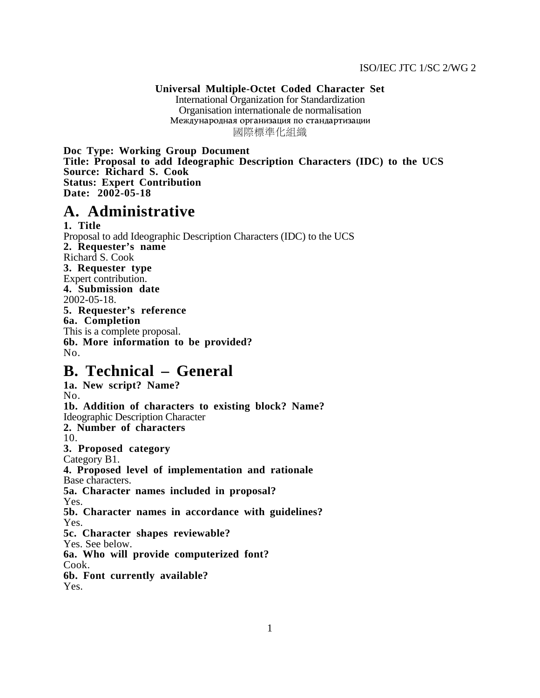**Universal Multiple-Octet Coded Character Set** International Organization for Standardization Organisation internationale de normalisation Международная организация по стандартизации 國際標準化組織

**Doc Type: Working Group Document Title: Proposal to add Ideographic Description Characters (IDC) to the UCS Source: Richard S. Cook Status: Expert Contribution Date: 2002-05-18**

## **A. Administrative**

**1. Title** Proposal to add Ideographic Description Characters (IDC) to the UCS **2. Requester's name** Richard S. Cook **3. Requester type** Expert contribution. **4. Submission date** 2002-05-18. **5. Requester's reference 6a. Completion** This is a complete proposal. **6b. More information to be provided?** No.

# **B. Technical – General**

**1a. New script? Name?** No. **1b. Addition of characters to existing block? Name?** Ideographic Description Character **2. Number of characters** 10. **3. Proposed category** Category B1. **4. Proposed level of implementation and rationale** Base characters. **5a. Character names included in proposal?** Yes. **5b. Character names in accordance with guidelines?** Yes. **5c. Character shapes reviewable?** Yes. See below. **6a. Who will provide computerized font?** Cook. **6b. Font currently available?** Yes.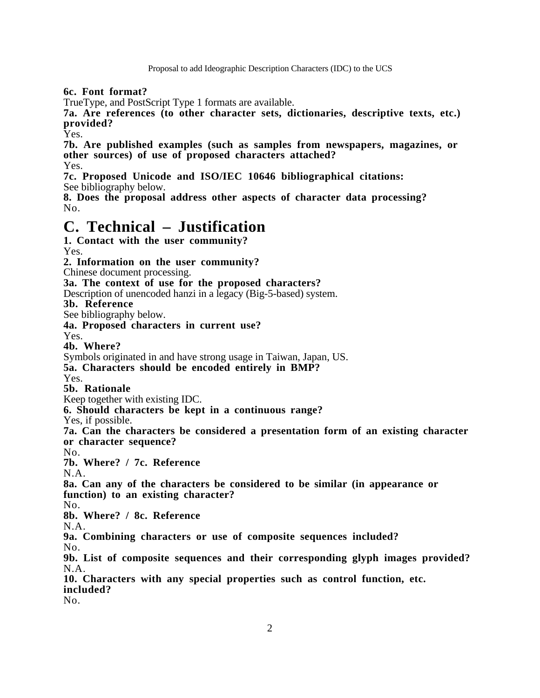Proposal to add Ideographic Description Characters (IDC) to the UCS

**6c. Font format?**

TrueType, and PostScript Type 1 formats are available.

**7a. Are references (to other character sets, dictionaries, descriptive texts, etc.) provided?**

Yes.

**7b. Are published examples (such as samples from newspapers, magazines, or other sources) of use of proposed characters attached?** Yes.

**7c. Proposed Unicode and ISO/IEC 10646 bibliographical citations:** See bibliography below.

**8. Does the proposal address other aspects of character data processing?** No.

# **C. Technical – Justification**

```
1. Contact with the user community?
Yes.
2. Information on the user community?
Chinese document processing.
3a. The context of use for the proposed characters?
Description of unencoded hanzi in a legacy (Big-5-based) system.
3b. Reference
See bibliography below.
4a. Proposed characters in current use?
Yes.
4b. Where?
Symbols originated in and have strong usage in Taiwan, Japan, US.
5a. Characters should be encoded entirely in BMP?
Yes.
5b. Rationale
Keep together with existing IDC.
6. Should characters be kept in a continuous range?
Yes, if possible.
7a. Can the characters be considered a presentation form of an existing character
or character sequence?
No.
7b. Where? / 7c. Reference
N.A.
8a. Can any of the characters be considered to be similar (in appearance or
function) to an existing character?
No.
8b. Where? / 8c. Reference
N.A.
9a. Combining characters or use of composite sequences included?
No.
9b. List of composite sequences and their corresponding glyph images provided?
N.A.
10. Characters with any special properties such as control function, etc.
included?
No.
```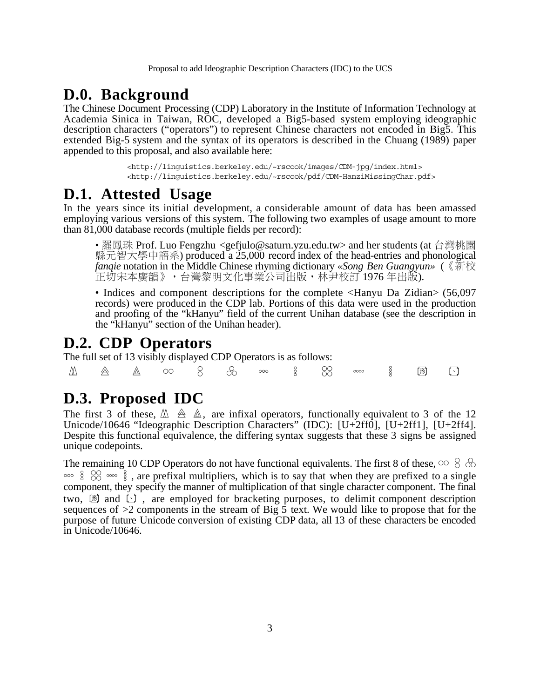### **D.0. Background**

The Chinese Document Processing (CDP) Laboratory in the Institute of Information Technology at Academia Sinica in Taiwan, ROC, developed a Big5-based system employing ideographic description characters ("operators") to represent Chinese characters not encoded in Big5. This extended Big-5 system and the syntax of its operators is described in the Chuang (1989) paper appended to this proposal, and also available here:

> [<http://linguistics.berkeley.edu/~rscook/images/CDM-jpg/index.html>](http://linguistics.berkeley.edu/~rscook/images/CDM-jpg/index.html) [<http://linguistics.berkeley.edu/~rscook/pdf/CDM-HanziMissingChar.pdf>](http://linguistics.berkeley.edu/~rscook/pdf/CDM-HanziMissingChar.pdf)

## **D.1. Attested Usage**

In the years since its initial development, a considerable amount of data has been amassed employing various versions of this system. The following two examples of usage amount to more than 81,000 database records (multiple fields per record):

• 羅鳳珠 Prof. Luo Fengzhu <gefjulo@saturn.yzu.edu.tw> and her students (at 台灣桃園 縣元智大學中語系) produced a 25,000 record index of the head-entries and phonological *fanqie* notation in the Middle Chinese rhyming dictionary *«Song Ben Guangyun»* (. 正切宋本廣韻》,台灣黎明文化事業公司出版,林尹校訂 1976 年出版).

• Indices and component descriptions for the complete  $\leq$ Hanyu Da Zidian $>$  (56,097) records) were produced in the CDP lab. Portions of this data were used in the production and proofing of the "kHanyu" field of the current Unihan database (see the description in the "kHanyu" section of the Unihan header).

#### **D.2. CDP Operators**

The full set of 13 visibly displayed CDP Operators is as follows:

 $\textcolor{red}{\Delta \hspace*{1.1cm} \Delta \hspace*{1.1cm} \Delta \hspace*{1.1cm} \Delta \hspace*{1.1cm} \Delta \hspace*{1.1cm} \Delta \hspace*{1.1cm} \textcolor{red}{\Delta}}$  oo  $\textcolor{red}{\text{8}}$  do oo  $\textcolor{red}{\text{8}}$  oo  $\textcolor{red}{\text{8}}$  do oo  $\textcolor{red}{\text{8}}$  do oo  $\textcolor{red}{\text{8}}$ 

## **D.3. Proposed IDC**

The first 3 of these,  $\mathbb{A} \triangleq \mathbb{A}$ , are infixal operators, functionally equivalent to 3 of the 12 Unicode/10646 "Ideographic Description Characters" (IDC): [U+2ff0], [U+2ff1], [U+2ff4]. Despite this functional equivalence, the differing syntax suggests that these 3 signs be assigned unique codepoints.

The remaining 10 CDP Operators do not have functional equivalents. The first 8 of these,  $\infty \, \otimes \, \otimes$  $\frac{1}{6}$  (  $\frac{1}{6}$   $\frac{1}{6}$   $\frac{1}{6}$   $\frac{1}{6}$   $\frac{1}{6}$   $\frac{1}{6}$   $\frac{1}{6}$   $\frac{1}{6}$   $\frac{1}{6}$   $\frac{1}{6}$   $\frac{1}{6}$   $\frac{1}{6}$   $\frac{1}{6}$   $\frac{1}{6}$   $\frac{1}{6}$   $\frac{1}{6}$   $\frac{1}{6}$   $\frac{1}{6}$   $\frac{1}{6}$   $\frac{1}{6}$   $\frac{1}{6}$ component, they specify the manner of multiplication of that single character component. The final two,  $\mathbb B$  and  $\Box$ , are employed for bracketing purposes, to delimit component description sequences of  $>2$  components in the stream of Big  $\overline{5}$  text. We would like to propose that for the purpose of future Unicode conversion of existing CDP data, all 13 of these characters be encoded in Unicode/10646.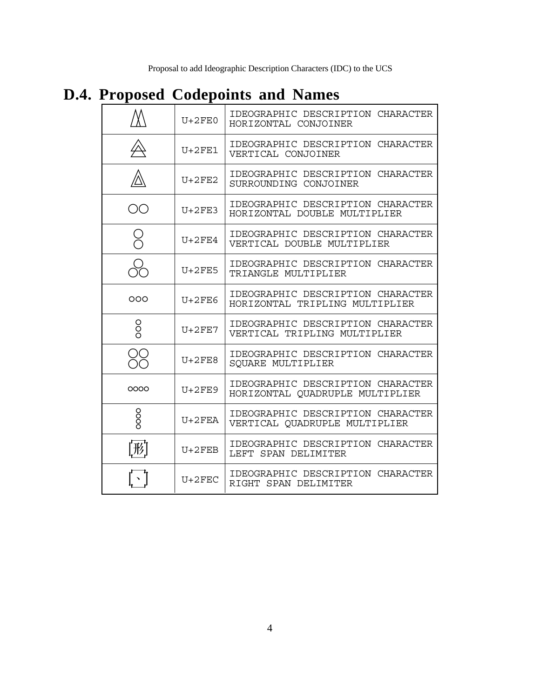# **D.4. Proposed Codepoints and Names**

|                 | $U+2FF.0$ | IDEOGRAPHIC DESCRIPTION CHARACTER<br>HORIZONTAL CONJOINER            |
|-----------------|-----------|----------------------------------------------------------------------|
|                 | $U+2FE1$  | IDEOGRAPHIC DESCRIPTION CHARACTER<br>VERTICAL CONJOINER              |
|                 | $U+2FE2$  | IDEOGRAPHIC DESCRIPTION CHARACTER<br>SURROUNDING CONJOINER           |
| OΟ              | $UI+2FF3$ | IDEOGRAPHIC DESCRIPTION CHARACTER<br>HORIZONTAL DOUBLE MULTIPLIER    |
| 0<br>O          | $UI+2FF4$ | IDEOGRAPHIC DESCRIPTION CHARACTER<br>VERTICAL DOUBLE MULTIPLIER      |
|                 | $U+2FE5$  | IDEOGRAPHIC DESCRIPTION CHARACTER<br>TRIANGLE MULTIPLIER             |
| ೦೦೦             | $U+2FE6$  | IDEOGRAPHIC DESCRIPTION CHARACTER<br>HORIZONTAL TRIPLING MULTIPLIER  |
| ooo             | $U+2FF7$  | IDEOGRAPHIC DESCRIPTION CHARACTER<br>VERTICAL TRIPLING MULTIPLIER    |
|                 | $U+2FE8$  | IDEOGRAPHIC DESCRIPTION CHARACTER<br>SQUARE MULTIPLIER               |
| 0000            | $U+2FE9$  | IDEOGRAPHIC DESCRIPTION CHARACTER<br>HORIZONTAL QUADRUPLE MULTIPLIER |
| oooo            | $U+2FEA$  | IDEOGRAPHIC DESCRIPTION CHARACTER<br>VERTICAL QUADRUPLE MULTIPLIER   |
| $[\mathcal{F}]$ | $U+2$ FEB | IDEOGRAPHIC DESCRIPTION CHARACTER<br>LEFT SPAN DELIMITER             |
|                 | $U+2FEC$  | IDEOGRAPHIC DESCRIPTION CHARACTER<br>RIGHT SPAN DELIMITER            |